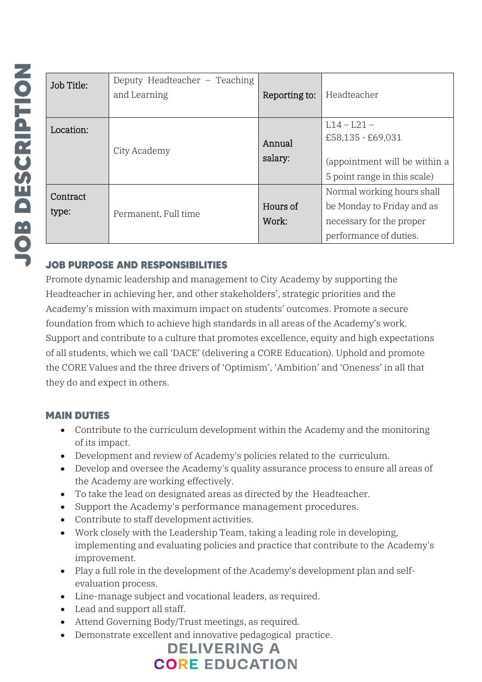| Job Title:        | Deputy Headteacher – Teaching<br>and Learning | Reporting to:     | Headteacher                                                                                                    |
|-------------------|-----------------------------------------------|-------------------|----------------------------------------------------------------------------------------------------------------|
| Location:         | City Academy                                  | Annual<br>salary: | $L14 - L21 -$<br>£58,135 - £69,031<br>(appointment will be within a<br>5 point range in this scale)            |
| Contract<br>type: | Permanent, Full time                          | Hours of<br>Work: | Normal working hours shall<br>be Monday to Friday and as<br>necessary for the proper<br>performance of duties. |

### **JOB PURPOSE AND RESPONSIBILITIES**

Promote dynamic leadership and management to City Academy by supporting the Headteacher in achieving her, and other stakeholders', strategic priorities and the Academy's mission with maximum impact on students' outcomes. Promote a secure foundation from which to achieve high standards in all areas of the Academy's work. Support and contribute to a culture that promotes excellence, equity and high expectations of all students, which we call 'DACE' (delivering a CORE Education). Uphold and promote the CORE Values and the three drivers of 'Optimism', 'Ambition' and 'Oneness' in all that they do and expect in others.

### **MAIN DUTIES**

- Contribute to the curriculum development within the Academy and the monitoring of its impact.
- Development and review of Academy's policies related to the curriculum.
- Develop and oversee the Academy's quality assurance process to ensure all areas of the Academy are working effectively.
- To take the lead on designated areas as directed by the Headteacher.
- Support the Academy's performance management procedures.
- Contribute to staff development activities.
- Work closely with the Leadership Team, taking a leading role in developing, implementing and evaluating policies and practice that contribute to the Academy's improvement.
- Play a full role in the development of the Academy's development plan and selfevaluation process.
- Line-manage subject and vocational leaders, as required.
- Lead and support all staff.
- Attend Governing Body/Trust meetings, as required.
- Demonstrate excellent and innovative pedagogical practice.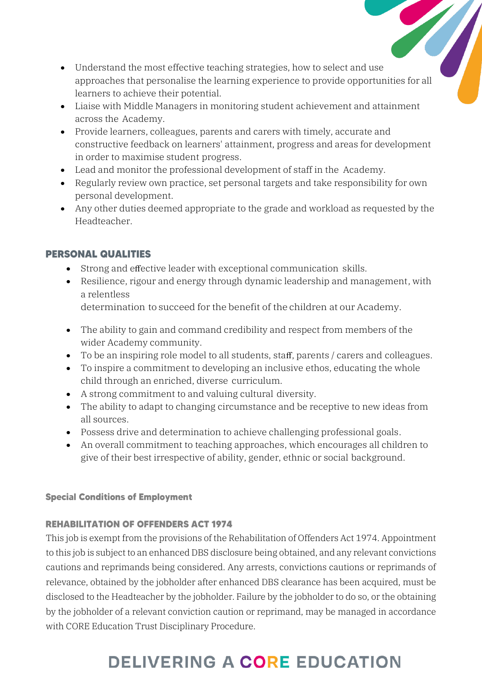- Understand the most effective teaching strategies, how to select and use approaches that personalise the learning experience to provide opportunities for all learners to achieve their potential.
- Liaise with Middle Managers in monitoring student achievement and attainment across the Academy.
- Provide learners, colleagues, parents and carers with timely, accurate and constructive feedback on learners' attainment, progress and areas for development in order to maximise student progress.
- Lead and monitor the professional development of staff in the Academy.
- Regularly review own practice, set personal targets and take responsibility for own personal development.
- Any other duties deemed appropriate to the grade and workload as requested by the Headteacher.

### **PERSONAL QUALITIES**

- Strong and effective leader with exceptional communication skills.
- Resilience, rigour and energy through dynamic leadership and management, with a relentless

determination to succeed for the benefit of the children at our Academy.

- The ability to gain and command credibility and respect from members of the wider Academy community.
- To be an inspiring role model to all students, staff, parents / carers and colleagues.
- To inspire a commitment to developing an inclusive ethos, educating the whole child through an enriched, diverse curriculum.
- A strong commitment to and valuing cultural diversity.
- The ability to adapt to changing circumstance and be receptive to new ideas from all sources.
- Possess drive and determination to achieve challenging professional goals.
- An overall commitment to teaching approaches, which encourages all children to give of their best irrespective of ability, gender, ethnic or social background.

### **Special Conditions of Employment**

### **REHABILITATION OF OFFENDERS ACT 1974**

This job is exempt from the provisions of the Rehabilitation of Offenders Act 1974. Appointment to this job is subject to an enhanced DBS disclosure being obtained, and any relevant convictions cautions and reprimands being considered. Any arrests, convictions cautions or reprimands of relevance, obtained by the jobholder after enhanced DBS clearance has been acquired, must be disclosed to the Headteacher by the jobholder. Failure by the jobholder to do so, or the obtaining by the jobholder of a relevant conviction caution or reprimand, may be managed in accordance with CORE Education Trust Disciplinary Procedure.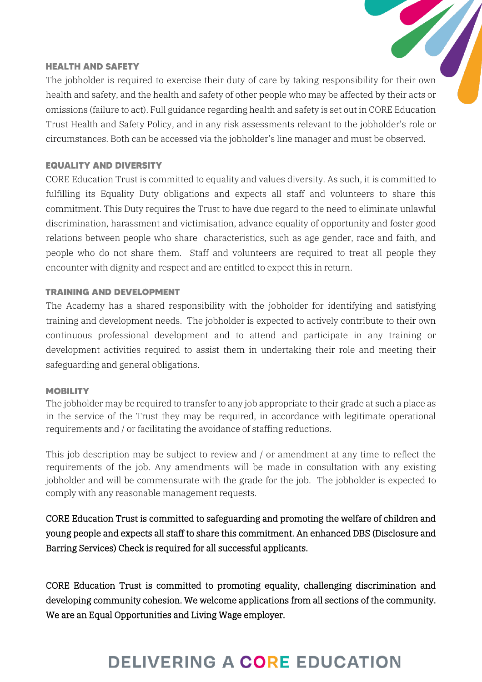#### **HEALTH AND SAFETY**

The jobholder is required to exercise their duty of care by taking responsibility for their own health and safety, and the health and safety of other people who may be affected by their acts or omissions (failure to act). Full guidance regarding health and safety is set out in CORE Education Trust Health and Safety Policy, and in any risk assessments relevant to the jobholder's role or circumstances. Both can be accessed via the jobholder's line manager and must be observed.

#### **EQUALITY AND DIVERSITY**

CORE Education Trust is committed to equality and values diversity. As such, it is committed to fulfilling its Equality Duty obligations and expects all staff and volunteers to share this commitment. This Duty requires the Trust to have due regard to the need to eliminate unlawful discrimination, harassment and victimisation, advance equality of opportunity and foster good relations between people who share characteristics, such as age gender, race and faith, and people who do not share them. Staff and volunteers are required to treat all people they encounter with dignity and respect and are entitled to expect this in return.

#### **TRAINING AND DEVELOPMENT**

The Academy has a shared responsibility with the jobholder for identifying and satisfying training and development needs. The jobholder is expected to actively contribute to their own continuous professional development and to attend and participate in any training or development activities required to assist them in undertaking their role and meeting their safeguarding and general obligations.

#### **MOBILITY**

The jobholder may be required to transfer to any job appropriate to their grade at such a place as in the service of the Trust they may be required, in accordance with legitimate operational requirements and / or facilitating the avoidance of staffing reductions.

This job description may be subject to review and / or amendment at any time to reflect the requirements of the job. Any amendments will be made in consultation with any existing jobholder and will be commensurate with the grade for the job. The jobholder is expected to comply with any reasonable management requests.

CORE Education Trust is committed to safeguarding and promoting the welfare of children and young people and expects all staff to share this commitment. An enhanced DBS (Disclosure and Barring Services) Check is required for all successful applicants.

CORE Education Trust is committed to promoting equality, challenging discrimination and developing community cohesion. We welcome applications from all sections of the community. We are an Equal Opportunities and Living Wage employer.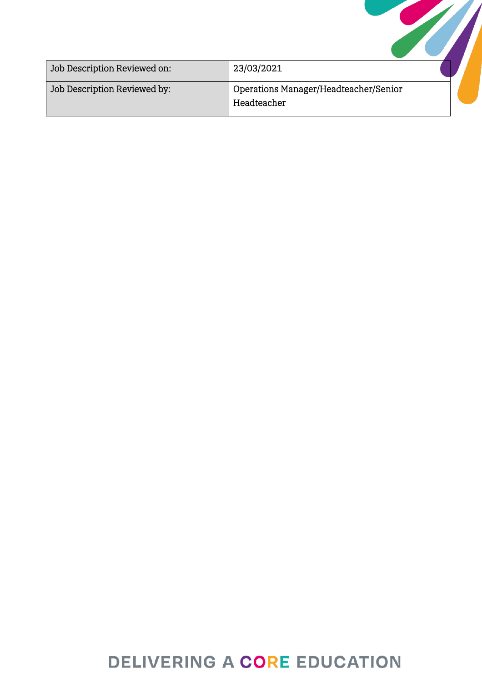| Job Description Reviewed on: | 23/03/2021                                           |  |
|------------------------------|------------------------------------------------------|--|
| Job Description Reviewed by: | Operations Manager/Headteacher/Senior<br>Headteacher |  |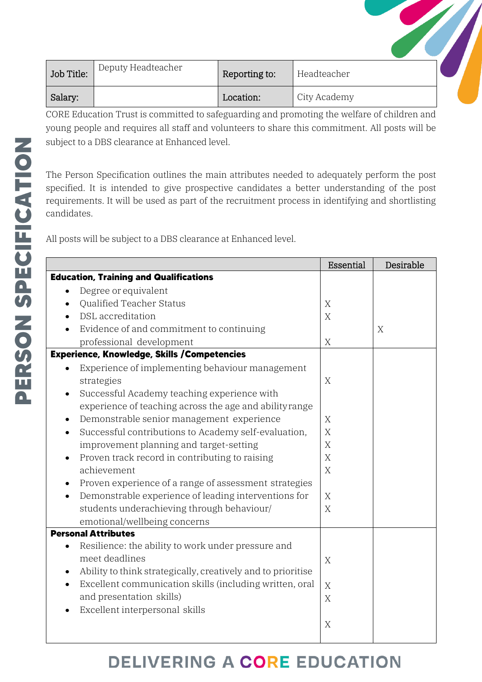| Job Title: | Deputy Headteacher | Reporting to: | Headteacher  |
|------------|--------------------|---------------|--------------|
| Salary:    |                    | Location:     | City Academy |

CORE Education Trust is committed to safeguarding and promoting the welfare of children and young people and requires all staff and volunteers to share this commitment. All posts will be subject to a DBS clearance at Enhanced level.

The Person Specification outlines the main attributes needed to adequately perform the post specified. It is intended to give prospective candidates a better understanding of the post requirements. It will be used as part of the recruitment process in identifying and shortlisting candidates.

All posts will be subject to a DBS clearance at Enhanced level.

|                                                                                                                         | Essential | Desirable |
|-------------------------------------------------------------------------------------------------------------------------|-----------|-----------|
| <b>Education, Training and Qualifications</b>                                                                           |           |           |
| Degree or equivalent                                                                                                    |           |           |
| Qualified Teacher Status                                                                                                | X         |           |
| DSL accreditation                                                                                                       | X         |           |
| Evidence of and commitment to continuing                                                                                |           | X         |
| professional development                                                                                                | X         |           |
| Experience, Knowledge, Skills /Competencies                                                                             |           |           |
| Experience of implementing behaviour management                                                                         |           |           |
| strategies                                                                                                              | X         |           |
| Successful Academy teaching experience with<br>$\bullet$                                                                |           |           |
| experience of teaching across the age and ability range                                                                 |           |           |
| Demonstrable senior management experience                                                                               | X         |           |
| Successful contributions to Academy self-evaluation,                                                                    | X         |           |
| improvement planning and target-setting                                                                                 | X         |           |
| Proven track record in contributing to raising                                                                          | X         |           |
| achievement                                                                                                             | X         |           |
| Proven experience of a range of assessment strategies                                                                   |           |           |
| Demonstrable experience of leading interventions for                                                                    | X         |           |
| students underachieving through behaviour/                                                                              | X         |           |
| emotional/wellbeing concerns                                                                                            |           |           |
| <b>Personal Attributes</b>                                                                                              |           |           |
| Resilience: the ability to work under pressure and<br>meet deadlines                                                    |           |           |
|                                                                                                                         | X         |           |
| Ability to think strategically, creatively and to prioritise<br>Excellent communication skills (including written, oral |           |           |
| and presentation skills)                                                                                                | X         |           |
| Excellent interpersonal skills                                                                                          | X         |           |
|                                                                                                                         |           |           |
|                                                                                                                         | X         |           |
|                                                                                                                         |           |           |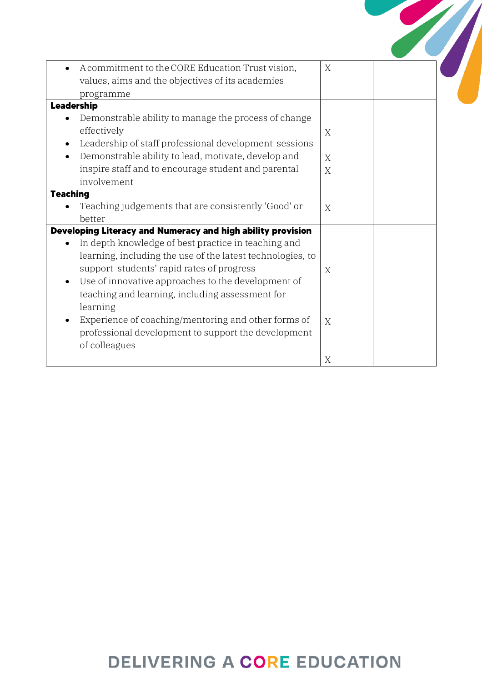| A commitment to the CORE Education Trust vision,<br>values, aims and the objectives of its academies<br>programme                                                                                                                                                                   | X      |  |
|-------------------------------------------------------------------------------------------------------------------------------------------------------------------------------------------------------------------------------------------------------------------------------------|--------|--|
| Leadership                                                                                                                                                                                                                                                                          |        |  |
| Demonstrable ability to manage the process of change<br>effectively<br>Leadership of staff professional development sessions                                                                                                                                                        | X      |  |
| Demonstrable ability to lead, motivate, develop and<br>inspire staff and to encourage student and parental                                                                                                                                                                          | X<br>X |  |
| involvement                                                                                                                                                                                                                                                                         |        |  |
| <b>Teaching</b><br>Teaching judgements that are consistently 'Good' or<br>better                                                                                                                                                                                                    | X      |  |
| Developing Literacy and Numeracy and high ability provision                                                                                                                                                                                                                         |        |  |
| In depth knowledge of best practice in teaching and<br>learning, including the use of the latest technologies, to<br>support students' rapid rates of progress<br>Use of innovative approaches to the development of<br>teaching and learning, including assessment for<br>learning | X      |  |
| Experience of coaching/mentoring and other forms of<br>professional development to support the development<br>of colleagues                                                                                                                                                         | X      |  |
|                                                                                                                                                                                                                                                                                     | X      |  |